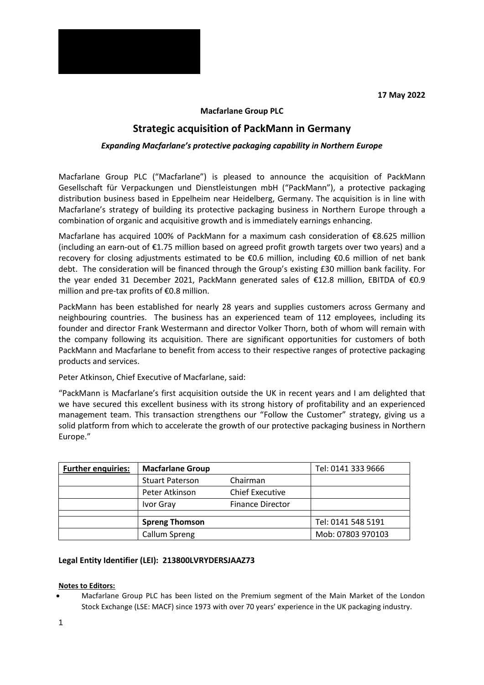**17 May 2022**



## **Macfarlane Group PLC**

# **Strategic acquisition of PackMann in Germany**

### *Expanding Macfarlane's protective packaging capability in Northern Europe*

Macfarlane Group PLC ("Macfarlane") is pleased to announce the acquisition of PackMann Gesellschaft für Verpackungen und Dienstleistungen mbH ("PackMann"), a protective packaging distribution business based in Eppelheim near Heidelberg, Germany. The acquisition is in line with Macfarlane's strategy of building its protective packaging business in Northern Europe through a combination of organic and acquisitive growth and is immediately earnings enhancing.

Macfarlane has acquired 100% of PackMann for a maximum cash consideration of €8.625 million (including an earn-out of €1.75 million based on agreed profit growth targets over two years) and a recovery for closing adjustments estimated to be €0.6 million, including €0.6 million of net bank debt. The consideration will be financed through the Group's existing £30 million bank facility. For the year ended 31 December 2021, PackMann generated sales of €12.8 million, EBITDA of €0.9 million and pre-tax profits of €0.8 million.

PackMann has been established for nearly 28 years and supplies customers across Germany and neighbouring countries. The business has an experienced team of 112 employees, including its founder and director Frank Westermann and director Volker Thorn, both of whom will remain with the company following its acquisition. There are significant opportunities for customers of both PackMann and Macfarlane to benefit from access to their respective ranges of protective packaging products and services.

Peter Atkinson, Chief Executive of Macfarlane, said:

"PackMann is Macfarlane's first acquisition outside the UK in recent years and I am delighted that we have secured this excellent business with its strong history of profitability and an experienced management team. This transaction strengthens our "Follow the Customer" strategy, giving us a solid platform from which to accelerate the growth of our protective packaging business in Northern Europe."

| <b>Further enquiries:</b> | <b>Macfarlane Group</b> |                         | Tel: 0141 333 9666 |
|---------------------------|-------------------------|-------------------------|--------------------|
|                           | <b>Stuart Paterson</b>  | Chairman                |                    |
|                           | Peter Atkinson          | <b>Chief Executive</b>  |                    |
|                           | Ivor Gray               | <b>Finance Director</b> |                    |
|                           |                         |                         |                    |
|                           | <b>Spreng Thomson</b>   |                         | Tel: 0141 548 5191 |
|                           | Callum Spreng           |                         | Mob: 07803 970103  |

## **Legal Entity Identifier (LEI): 213800LVRYDERSJAAZ73**

#### **Notes to Editors:**

• Macfarlane Group PLC has been listed on the Premium segment of the Main Market of the London Stock Exchange (LSE: MACF) since 1973 with over 70 years' experience in the UK packaging industry.